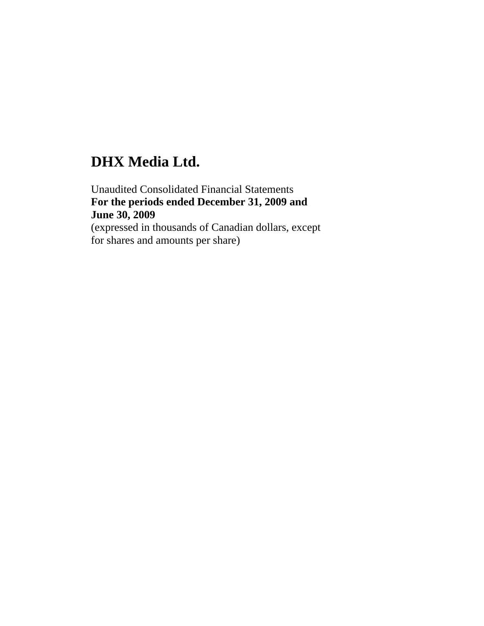# **DHX Media Ltd.**

Unaudited Consolidated Financial Statements **For the periods ended December 31, 2009 and June 30, 2009**  (expressed in thousands of Canadian dollars, except for shares and amounts per share)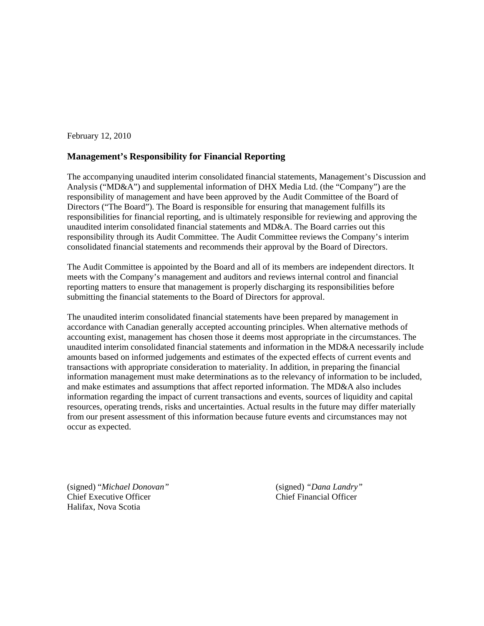February 12, 2010

### **Management's Responsibility for Financial Reporting**

The accompanying unaudited interim consolidated financial statements, Management's Discussion and Analysis ("MD&A") and supplemental information of DHX Media Ltd. (the "Company") are the responsibility of management and have been approved by the Audit Committee of the Board of Directors ("The Board"). The Board is responsible for ensuring that management fulfills its responsibilities for financial reporting, and is ultimately responsible for reviewing and approving the unaudited interim consolidated financial statements and MD&A. The Board carries out this responsibility through its Audit Committee. The Audit Committee reviews the Company's interim consolidated financial statements and recommends their approval by the Board of Directors.

The Audit Committee is appointed by the Board and all of its members are independent directors. It meets with the Company's management and auditors and reviews internal control and financial reporting matters to ensure that management is properly discharging its responsibilities before submitting the financial statements to the Board of Directors for approval.

The unaudited interim consolidated financial statements have been prepared by management in accordance with Canadian generally accepted accounting principles. When alternative methods of accounting exist, management has chosen those it deems most appropriate in the circumstances. The unaudited interim consolidated financial statements and information in the MD&A necessarily include amounts based on informed judgements and estimates of the expected effects of current events and transactions with appropriate consideration to materiality. In addition, in preparing the financial information management must make determinations as to the relevancy of information to be included, and make estimates and assumptions that affect reported information. The MD&A also includes information regarding the impact of current transactions and events, sources of liquidity and capital resources, operating trends, risks and uncertainties. Actual results in the future may differ materially from our present assessment of this information because future events and circumstances may not occur as expected.

(signed) "*Michael Donovan"* (signed) *"Dana Landry"* Chief Executive Officer Chief Financial Officer Halifax, Nova Scotia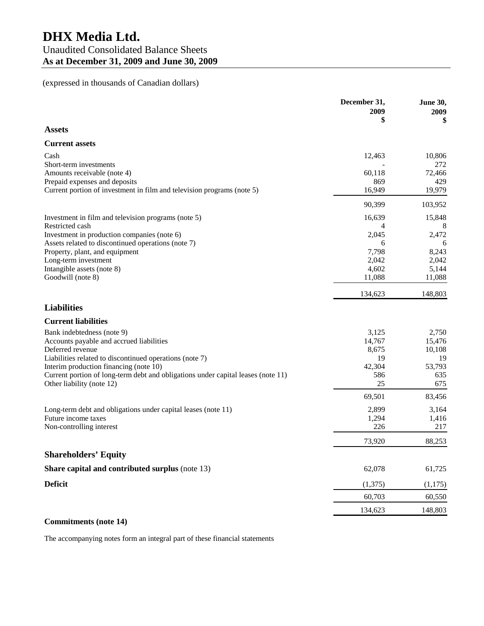# (expressed in thousands of Canadian dollars)

|                                                                                  | December 31,<br>2009<br>\$ | <b>June 30,</b><br>2009<br>\$ |
|----------------------------------------------------------------------------------|----------------------------|-------------------------------|
| <b>Assets</b>                                                                    |                            |                               |
| <b>Current assets</b>                                                            |                            |                               |
| Cash                                                                             | 12,463                     | 10,806                        |
| Short-term investments                                                           |                            | 272                           |
| Amounts receivable (note 4)                                                      | 60,118                     | 72,466                        |
| Prepaid expenses and deposits                                                    | 869                        | 429                           |
| Current portion of investment in film and television programs (note 5)           | 16,949                     | 19,979                        |
|                                                                                  | 90,399                     | 103,952                       |
| Investment in film and television programs (note 5)                              | 16,639                     | 15,848                        |
| Restricted cash                                                                  | 4                          | 8                             |
| Investment in production companies (note 6)                                      | 2,045                      | 2,472                         |
| Assets related to discontinued operations (note 7)                               | 6                          | 6                             |
| Property, plant, and equipment                                                   | 7,798                      | 8,243                         |
| Long-term investment                                                             | 2,042                      | 2,042                         |
| Intangible assets (note 8)                                                       | 4,602                      | 5,144                         |
| Goodwill (note 8)                                                                | 11,088                     | 11,088                        |
|                                                                                  | 134,623                    | 148,803                       |
| <b>Liabilities</b>                                                               |                            |                               |
| <b>Current liabilities</b>                                                       |                            |                               |
| Bank indebtedness (note 9)                                                       | 3,125                      | 2,750                         |
| Accounts payable and accrued liabilities                                         | 14,767                     | 15,476                        |
| Deferred revenue                                                                 | 8,675                      | 10,108                        |
| Liabilities related to discontinued operations (note 7)                          | 19                         | 19                            |
| Interim production financing (note 10)                                           | 42,304                     | 53,793                        |
| Current portion of long-term debt and obligations under capital leases (note 11) | 586                        | 635                           |
| Other liability (note 12)                                                        | 25                         | 675                           |
|                                                                                  | 69,501                     | 83,456                        |
| Long-term debt and obligations under capital leases (note 11)                    | 2,899                      | 3,164                         |
| Future income taxes                                                              | 1,294                      | 1,416                         |
| Non-controlling interest                                                         | 226                        | 217                           |
|                                                                                  | 73,920                     | 88,253                        |
| <b>Shareholders' Equity</b>                                                      |                            |                               |
| Share capital and contributed surplus (note 13)                                  | 62,078                     | 61,725                        |
| <b>Deficit</b>                                                                   | (1,375)                    | (1, 175)                      |
|                                                                                  | 60,703                     | 60,550                        |
|                                                                                  | 134,623                    | 148,803                       |

#### **Commitments (note 14)**

The accompanying notes form an integral part of these financial statements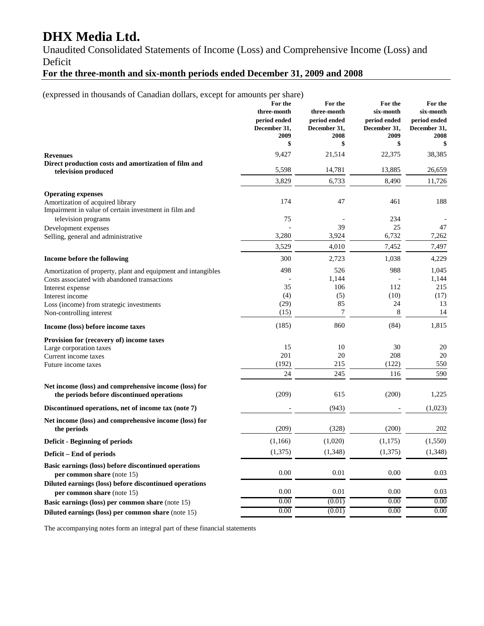# **DHX Media Ltd.**

Unaudited Consolidated Statements of Income (Loss) and Comprehensive Income (Loss) and Deficit

# **For the three-month and six-month periods ended December 31, 2009 and 2008**

(expressed in thousands of Canadian dollars, except for amounts per share)

|                                                                                                     | For the<br>three-month<br>period ended | For the<br>three-month<br>period ended | For the<br>six-month<br>period ended | For the<br>six-month<br>period ended |
|-----------------------------------------------------------------------------------------------------|----------------------------------------|----------------------------------------|--------------------------------------|--------------------------------------|
|                                                                                                     | December 31,<br>2009                   | December 31,<br>2008                   | December 31,<br>2009                 | December 31.<br>2008                 |
|                                                                                                     | \$                                     | \$                                     | \$                                   | \$                                   |
| <b>Revenues</b>                                                                                     | 9,427                                  | 21,514                                 | 22,375                               | 38,385                               |
| Direct production costs and amortization of film and<br>television produced                         | 5,598                                  | 14,781                                 | 13,885                               | 26,659                               |
|                                                                                                     | 3,829                                  | 6,733                                  | 8,490                                | 11,726                               |
| <b>Operating expenses</b>                                                                           |                                        |                                        |                                      |                                      |
| Amortization of acquired library<br>Impairment in value of certain investment in film and           | 174                                    | 47                                     | 461                                  | 188                                  |
| television programs                                                                                 | 75                                     |                                        | 234                                  |                                      |
| Development expenses                                                                                |                                        | 39                                     | 25                                   | 47                                   |
| Selling, general and administrative                                                                 | 3,280                                  | 3,924                                  | 6,732                                | 7,262                                |
|                                                                                                     | 3,529                                  | 4,010                                  | 7,452                                | 7,497                                |
| Income before the following                                                                         | 300                                    | 2,723                                  | 1,038                                | 4,229                                |
| Amortization of property, plant and equipment and intangibles                                       | 498                                    | 526                                    | 988                                  | 1,045                                |
| Costs associated with abandoned transactions                                                        |                                        | 1,144                                  |                                      | 1,144                                |
| Interest expense                                                                                    | 35                                     | 106                                    | 112                                  | 215                                  |
| Interest income                                                                                     | (4)<br>(29)                            | (5)<br>85                              | (10)<br>24                           | (17)<br>13                           |
| Loss (income) from strategic investments<br>Non-controlling interest                                | (15)                                   | 7                                      | 8                                    | 14                                   |
|                                                                                                     | (185)                                  | 860                                    | (84)                                 | 1,815                                |
| Income (loss) before income taxes                                                                   |                                        |                                        |                                      |                                      |
| Provision for (recovery of) income taxes                                                            |                                        |                                        |                                      |                                      |
| Large corporation taxes                                                                             | 15<br>201                              | 10<br>20                               | 30<br>208                            | 20                                   |
| Current income taxes                                                                                | (192)                                  | 215                                    | (122)                                | 20<br>550                            |
| Future income taxes                                                                                 | 24                                     | 245                                    | 116                                  | 590                                  |
|                                                                                                     |                                        |                                        |                                      |                                      |
| Net income (loss) and comprehensive income (loss) for<br>the periods before discontinued operations | (209)                                  | 615                                    | (200)                                | 1,225                                |
| Discontinued operations, net of income tax (note 7)                                                 |                                        | (943)                                  |                                      | (1,023)                              |
| Net income (loss) and comprehensive income (loss) for<br>the periods                                | (209)                                  | (328)                                  | (200)                                | 202                                  |
| <b>Deficit - Beginning of periods</b>                                                               | (1,166)                                | (1,020)                                | (1,175)                              | (1, 550)                             |
| Deficit – End of periods                                                                            | (1,375)                                | (1,348)                                | (1,375)                              | (1, 348)                             |
| Basic earnings (loss) before discontinued operations                                                |                                        |                                        |                                      |                                      |
| per common share (note 15)                                                                          | 0.00                                   | 0.01                                   | 0.00                                 | 0.03                                 |
| Diluted earnings (loss) before discontinued operations<br>per common share (note 15)                | 0.00                                   | 0.01                                   | 0.00                                 | 0.03                                 |
| Basic earnings (loss) per common share (note 15)                                                    | 0.00                                   | (0.01)                                 | 0.00                                 | 0.00                                 |
| Diluted earnings (loss) per common share (note 15)                                                  | 0.00                                   | (0.01)                                 | 0.00                                 | 0.00                                 |

The accompanying notes form an integral part of these financial statements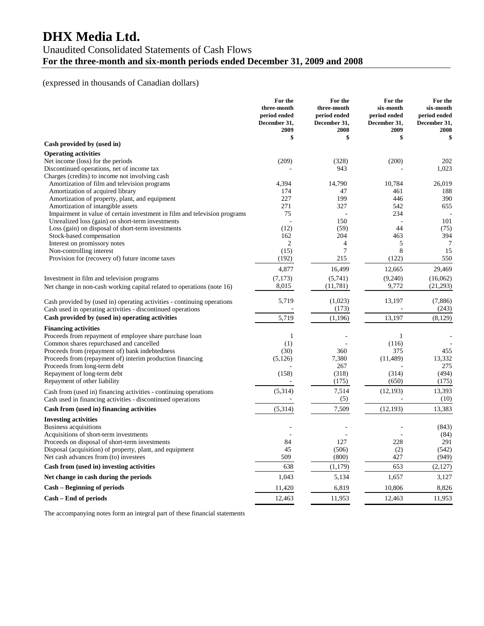# **DHX Media Ltd.**

# Unaudited Consolidated Statements of Cash Flows **For the three-month and six-month periods ended December 31, 2009 and 2008**

# (expressed in thousands of Canadian dollars)

|                                                                             | For the<br>three-month<br>period ended<br>December 31,<br>2009 | For the<br>three-month<br>period ended<br>December 31,<br>2008 | For the<br>six-month<br>period ended<br>December 31,<br>2009 | For the<br>six-month<br>period ended<br>December 31.<br>2008 |
|-----------------------------------------------------------------------------|----------------------------------------------------------------|----------------------------------------------------------------|--------------------------------------------------------------|--------------------------------------------------------------|
| Cash provided by (used in)                                                  | \$                                                             | \$                                                             | \$                                                           | \$                                                           |
| <b>Operating activities</b>                                                 |                                                                |                                                                |                                                              |                                                              |
| Net income (loss) for the periods                                           | (209)                                                          | (328)                                                          | (200)                                                        | 202                                                          |
| Discontinued operations, net of income tax                                  |                                                                | 943                                                            |                                                              | 1,023                                                        |
| Charges (credits) to income not involving cash                              |                                                                |                                                                |                                                              |                                                              |
| Amortization of film and television programs                                | 4,394                                                          | 14,790                                                         | 10,784                                                       | 26,019                                                       |
| Amortization of acquired library                                            | 174                                                            | 47                                                             | 461                                                          | 188                                                          |
| Amortization of property, plant, and equipment                              | 227                                                            | 199                                                            | 446                                                          | 390                                                          |
| Amortization of intangible assets                                           | 271                                                            | 327                                                            | 542                                                          | 655                                                          |
| Impairment in value of certain investment in film and television programs   | 75                                                             |                                                                | 234                                                          |                                                              |
| Unrealized loss (gain) on short-term investments                            |                                                                | 150                                                            |                                                              | 101                                                          |
| Loss (gain) on disposal of short-term investments                           | (12)                                                           | (59)                                                           | 44                                                           | (75)                                                         |
| Stock-based compensation                                                    | 162                                                            | 204                                                            | 463                                                          | 394                                                          |
| Interest on promissory notes                                                | $\overline{c}$<br>(15)                                         | $\overline{4}$<br>$\overline{7}$                               | 5<br>8                                                       | $\overline{7}$<br>15                                         |
| Non-controlling interest<br>Provision for (recovery of) future income taxes | (192)                                                          | 215                                                            | (122)                                                        | 550                                                          |
|                                                                             | 4,877                                                          | 16,499                                                         | 12,665                                                       | 29,469                                                       |
| Investment in film and television programs                                  | (7,173)                                                        | (5,741)                                                        | (9,240)                                                      | (16,062)                                                     |
| Net change in non-cash working capital related to operations (note 16)      | 8,015                                                          | (11, 781)                                                      | 9,772                                                        | (21, 293)                                                    |
|                                                                             |                                                                |                                                                |                                                              |                                                              |
| Cash provided by (used in) operating activities - continuing operations     | 5,719                                                          | (1,023)                                                        | 13,197                                                       | (7, 886)                                                     |
| Cash used in operating activities - discontinued operations                 |                                                                | (173)                                                          |                                                              | (243)                                                        |
| Cash provided by (used in) operating activities                             | 5,719                                                          | (1, 196)                                                       | 13,197                                                       | (8,129)                                                      |
| <b>Financing activities</b>                                                 |                                                                |                                                                |                                                              |                                                              |
| Proceeds from repayment of employee share purchase loan                     | 1                                                              |                                                                | 1                                                            |                                                              |
| Common shares repurchased and cancelled                                     | (1)                                                            |                                                                | (116)                                                        |                                                              |
| Proceeds from (repayment of) bank indebtedness                              | (30)                                                           | 360                                                            | 375                                                          | 455                                                          |
| Proceeds from (repayment of) interim production financing                   | (5,126)                                                        | 7,380                                                          | (11, 489)                                                    | 13,332                                                       |
| Proceeds from long-term debt                                                |                                                                | 267                                                            |                                                              | 275                                                          |
| Repayment of long-term debt                                                 | (158)                                                          | (318)                                                          | (314)                                                        | (494)                                                        |
| Repayment of other liability                                                |                                                                | (175)                                                          | (650)                                                        | (175)                                                        |
| Cash from (used in) financing activities - continuing operations            | (5,314)                                                        | 7,514                                                          | (12, 193)                                                    | 13,393                                                       |
| Cash used in financing activities - discontinued operations                 | $\overline{\phantom{a}}$                                       | (5)                                                            |                                                              | (10)                                                         |
| Cash from (used in) financing activities                                    | (5,314)                                                        | 7,509                                                          | (12, 193)                                                    | 13,383                                                       |
| <b>Investing activities</b>                                                 |                                                                |                                                                |                                                              |                                                              |
| Business acquisitions                                                       |                                                                |                                                                |                                                              | (843)                                                        |
| Acquisitions of short-term investments                                      |                                                                |                                                                |                                                              | (84)                                                         |
| Proceeds on disposal of short-term investments                              | 84                                                             | 127                                                            | 228                                                          | 291                                                          |
| Disposal (acquisition) of property, plant, and equipment                    | 45                                                             | (506)                                                          | (2)                                                          | (542)                                                        |
| Net cash advances from (to) investees                                       | 509                                                            | (800)                                                          | 427                                                          | (949)                                                        |
| Cash from (used in) investing activities                                    | 638                                                            | (1,179)                                                        | 653                                                          | (2,127)                                                      |
| Net change in cash during the periods                                       | 1,043                                                          | 5,134                                                          | 1,657                                                        | 3,127                                                        |
| Cash – Beginning of periods                                                 | 11,420                                                         | 6,819                                                          | 10,806                                                       | 8,826                                                        |
| Cash – End of periods                                                       | 12,463                                                         | 11,953                                                         | 12,463                                                       | 11,953                                                       |

The accompanying notes form an integral part of these financial statements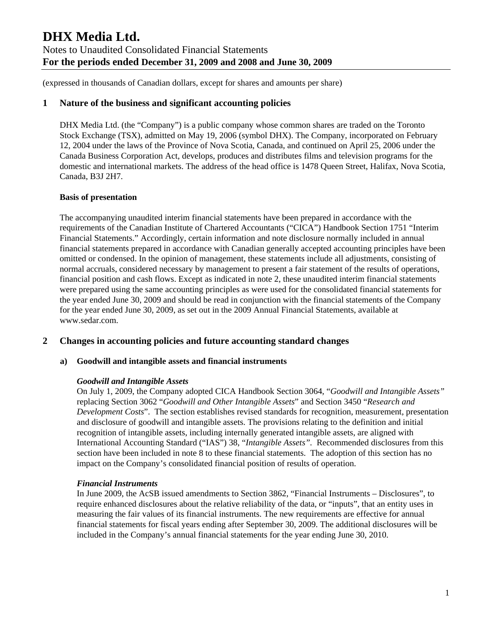(expressed in thousands of Canadian dollars, except for shares and amounts per share)

## **1 Nature of the business and significant accounting policies**

DHX Media Ltd. (the "Company") is a public company whose common shares are traded on the Toronto Stock Exchange (TSX), admitted on May 19, 2006 (symbol DHX). The Company, incorporated on February 12, 2004 under the laws of the Province of Nova Scotia, Canada, and continued on April 25, 2006 under the Canada Business Corporation Act, develops, produces and distributes films and television programs for the domestic and international markets. The address of the head office is 1478 Queen Street, Halifax, Nova Scotia, Canada, B3J 2H7.

### **Basis of presentation**

The accompanying unaudited interim financial statements have been prepared in accordance with the requirements of the Canadian Institute of Chartered Accountants ("CICA") Handbook Section 1751 "Interim Financial Statements." Accordingly, certain information and note disclosure normally included in annual financial statements prepared in accordance with Canadian generally accepted accounting principles have been omitted or condensed. In the opinion of management, these statements include all adjustments, consisting of normal accruals, considered necessary by management to present a fair statement of the results of operations, financial position and cash flows. Except as indicated in note 2, these unaudited interim financial statements were prepared using the same accounting principles as were used for the consolidated financial statements for the year ended June 30, 2009 and should be read in conjunction with the financial statements of the Company for the year ended June 30, 2009, as set out in the 2009 Annual Financial Statements, available at www.sedar.com.

## **2 Changes in accounting policies and future accounting standard changes**

### **a) Goodwill and intangible assets and financial instruments**

### *Goodwill and Intangible Assets*

On July 1, 2009, the Company adopted CICA Handbook Section 3064, "*Goodwill and Intangible Assets"* replacing Section 3062 "*Goodwill and Other Intangible Assets*" and Section 3450 "*Research and Development Costs*". The section establishes revised standards for recognition, measurement, presentation and disclosure of goodwill and intangible assets. The provisions relating to the definition and initial recognition of intangible assets, including internally generated intangible assets, are aligned with International Accounting Standard ("IAS") 38, "*Intangible Assets".* Recommended disclosures from this section have been included in note 8 to these financial statements. The adoption of this section has no impact on the Company's consolidated financial position of results of operation.

### *Financial Instruments*

In June 2009, the AcSB issued amendments to Section 3862, "Financial Instruments – Disclosures", to require enhanced disclosures about the relative reliability of the data, or "inputs", that an entity uses in measuring the fair values of its financial instruments. The new requirements are effective for annual financial statements for fiscal years ending after September 30, 2009. The additional disclosures will be included in the Company's annual financial statements for the year ending June 30, 2010.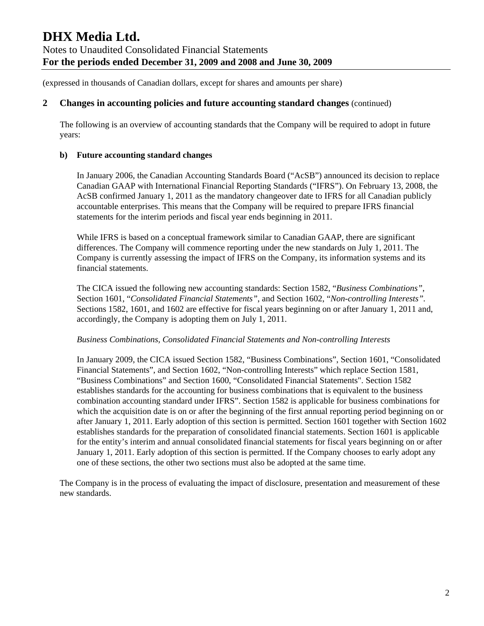### **2 Changes in accounting policies and future accounting standard changes** (continued)

The following is an overview of accounting standards that the Company will be required to adopt in future years:

### **b) Future accounting standard changes**

In January 2006, the Canadian Accounting Standards Board ("AcSB") announced its decision to replace Canadian GAAP with International Financial Reporting Standards ("IFRS"). On February 13, 2008, the AcSB confirmed January 1, 2011 as the mandatory changeover date to IFRS for all Canadian publicly accountable enterprises. This means that the Company will be required to prepare IFRS financial statements for the interim periods and fiscal year ends beginning in 2011.

While IFRS is based on a conceptual framework similar to Canadian GAAP, there are significant differences. The Company will commence reporting under the new standards on July 1, 2011. The Company is currently assessing the impact of IFRS on the Company, its information systems and its financial statements.

The CICA issued the following new accounting standards: Section 1582, "*Business Combinations"*, Section 1601, "*Consolidated Financial Statements"*, and Section 1602, "*Non-controlling Interests".* Sections 1582, 1601, and 1602 are effective for fiscal years beginning on or after January 1, 2011 and, accordingly, the Company is adopting them on July 1, 2011.

### *Business Combinations, Consolidated Financial Statements and Non-controlling Interests*

In January 2009, the CICA issued Section 1582, "Business Combinations", Section 1601, "Consolidated Financial Statements", and Section 1602, "Non-controlling Interests" which replace Section 1581, "Business Combinations" and Section 1600, "Consolidated Financial Statements". Section 1582 establishes standards for the accounting for business combinations that is equivalent to the business combination accounting standard under IFRS". Section 1582 is applicable for business combinations for which the acquisition date is on or after the beginning of the first annual reporting period beginning on or after January 1, 2011. Early adoption of this section is permitted. Section 1601 together with Section 1602 establishes standards for the preparation of consolidated financial statements. Section 1601 is applicable for the entity's interim and annual consolidated financial statements for fiscal years beginning on or after January 1, 2011. Early adoption of this section is permitted. If the Company chooses to early adopt any one of these sections, the other two sections must also be adopted at the same time.

The Company is in the process of evaluating the impact of disclosure, presentation and measurement of these new standards.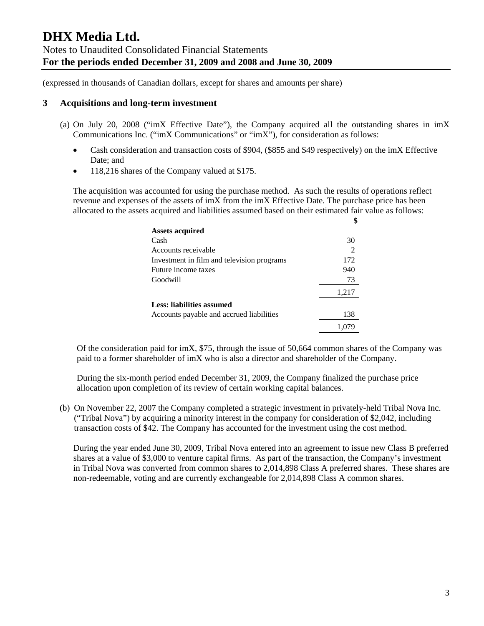### **3 Acquisitions and long-term investment**

- (a) On July 20, 2008 ("imX Effective Date"), the Company acquired all the outstanding shares in imX Communications Inc. ("imX Communications" or "imX"), for consideration as follows:
	- Cash consideration and transaction costs of \$904, (\$855 and \$49 respectively) on the imX Effective Date; and
	- 118,216 shares of the Company valued at \$175.

The acquisition was accounted for using the purchase method. As such the results of operations reflect revenue and expenses of the assets of imX from the imX Effective Date. The purchase price has been allocated to the assets acquired and liabilities assumed based on their estimated fair value as follows:

| <b>Assets acquired</b>                     |       |
|--------------------------------------------|-------|
| Cash                                       | 30    |
| Accounts receivable                        |       |
| Investment in film and television programs | 172   |
| Future income taxes                        | 940   |
| Goodwill                                   | 73    |
|                                            | 1,217 |
| Less: liabilities assumed                  |       |
| Accounts payable and accrued liabilities   | 138   |
|                                            |       |

Of the consideration paid for imX, \$75, through the issue of 50,664 common shares of the Company was paid to a former shareholder of imX who is also a director and shareholder of the Company.

During the six-month period ended December 31, 2009, the Company finalized the purchase price allocation upon completion of its review of certain working capital balances.

(b) On November 22, 2007 the Company completed a strategic investment in privately-held Tribal Nova Inc. ("Tribal Nova") by acquiring a minority interest in the company for consideration of \$2,042, including transaction costs of \$42. The Company has accounted for the investment using the cost method.

During the year ended June 30, 2009, Tribal Nova entered into an agreement to issue new Class B preferred shares at a value of \$3,000 to venture capital firms. As part of the transaction, the Company's investment in Tribal Nova was converted from common shares to 2,014,898 Class A preferred shares. These shares are non-redeemable, voting and are currently exchangeable for 2,014,898 Class A common shares.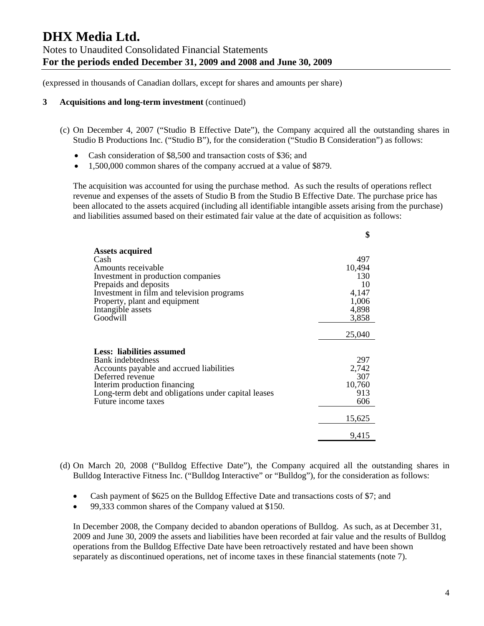(expressed in thousands of Canadian dollars, except for shares and amounts per share)

#### **3 Acquisitions and long-term investment** (continued)

- (c) On December 4, 2007 ("Studio B Effective Date"), the Company acquired all the outstanding shares in Studio B Productions Inc. ("Studio B"), for the consideration ("Studio B Consideration") as follows:
	- Cash consideration of \$8,500 and transaction costs of \$36; and
	- 1,500,000 common shares of the company accrued at a value of \$879.

The acquisition was accounted for using the purchase method. As such the results of operations reflect revenue and expenses of the assets of Studio B from the Studio B Effective Date. The purchase price has been allocated to the assets acquired (including all identifiable intangible assets arising from the purchase) and liabilities assumed based on their estimated fair value at the date of acquisition as follows:

|                                                     | \$     |
|-----------------------------------------------------|--------|
| <b>Assets acquired</b>                              |        |
| Cash                                                | 497    |
| Amounts receivable                                  | 10,494 |
| Investment in production companies                  | 130    |
| Prepaids and deposits                               | 10     |
| Investment in film and television programs          | 4,147  |
| Property, plant and equipment                       | 1,006  |
| Intangible assets                                   | 4,898  |
| Goodwill                                            | 3,858  |
|                                                     |        |
|                                                     | 25,040 |
| Less: liabilities assumed                           |        |
| Bank indebtedness                                   | 297    |
| Accounts payable and accrued liabilities            | 2,742  |
| Deferred revenue                                    | 307    |
| Interim production financing                        | 10,760 |
| Long-term debt and obligations under capital leases | 913    |
| Future income taxes                                 | 606    |
|                                                     |        |
|                                                     | 15,625 |
|                                                     | 9,415  |

- (d) On March 20, 2008 ("Bulldog Effective Date"), the Company acquired all the outstanding shares in Bulldog Interactive Fitness Inc. ("Bulldog Interactive" or "Bulldog"), for the consideration as follows:
	- Cash payment of \$625 on the Bulldog Effective Date and transactions costs of \$7; and
	- 99,333 common shares of the Company valued at \$150.

In December 2008, the Company decided to abandon operations of Bulldog. As such, as at December 31, 2009 and June 30, 2009 the assets and liabilities have been recorded at fair value and the results of Bulldog operations from the Bulldog Effective Date have been retroactively restated and have been shown separately as discontinued operations, net of income taxes in these financial statements (note 7).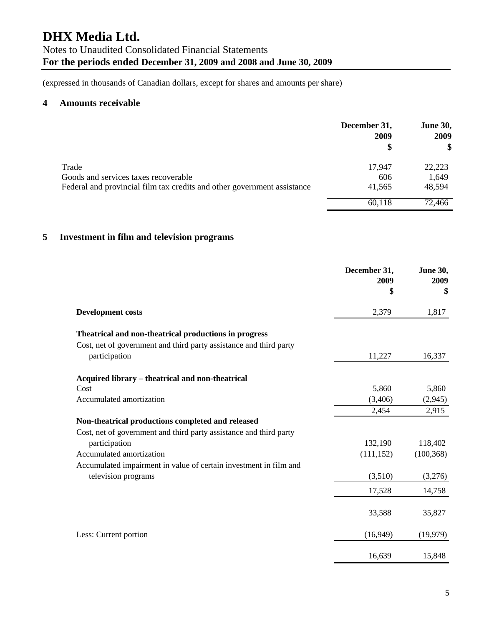(expressed in thousands of Canadian dollars, except for shares and amounts per share)

### **4 Amounts receivable**

|                                                                         | December 31,<br>2009<br>S | <b>June 30,</b><br>2009<br>\$ |
|-------------------------------------------------------------------------|---------------------------|-------------------------------|
| Trade                                                                   | 17,947                    | 22,223                        |
| Goods and services taxes recoverable                                    | 606                       | 1,649                         |
| Federal and provincial film tax credits and other government assistance | 41,565                    | 48,594                        |
|                                                                         | 60,118                    | 72,466                        |

# **5 Investment in film and television programs**

|                                                                    | December 31,<br>2009<br>\$ | <b>June 30,</b><br>2009<br>\$ |
|--------------------------------------------------------------------|----------------------------|-------------------------------|
| <b>Development costs</b>                                           | 2,379                      | 1,817                         |
| Theatrical and non-theatrical productions in progress              |                            |                               |
| Cost, net of government and third party assistance and third party |                            |                               |
| participation                                                      | 11,227                     | 16,337                        |
| Acquired library – theatrical and non-theatrical                   |                            |                               |
| Cost                                                               | 5,860                      | 5,860                         |
| Accumulated amortization                                           | (3,406)                    | (2,945)                       |
|                                                                    | 2,454                      | 2,915                         |
| Non-theatrical productions completed and released                  |                            |                               |
| Cost, net of government and third party assistance and third party |                            |                               |
| participation                                                      | 132,190                    | 118,402                       |
| Accumulated amortization                                           | (111, 152)                 | (100, 368)                    |
| Accumulated impairment in value of certain investment in film and  |                            |                               |
| television programs                                                | (3,510)                    | (3,276)                       |
|                                                                    | 17,528                     | 14,758                        |
|                                                                    | 33,588                     | 35,827                        |
| Less: Current portion                                              | (16,949)                   | (19,979)                      |
|                                                                    | 16,639                     | 15,848                        |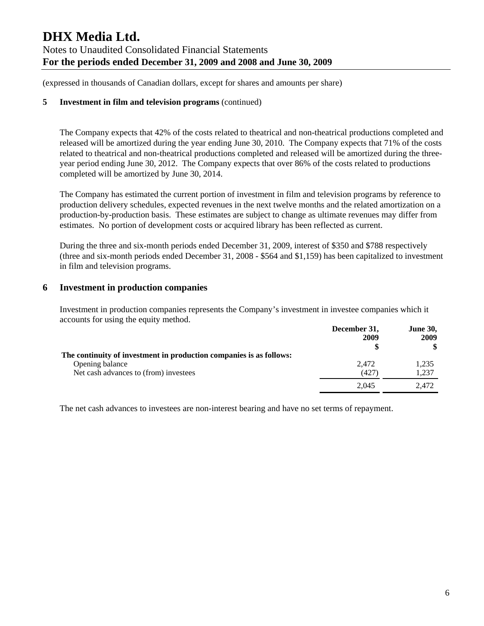(expressed in thousands of Canadian dollars, except for shares and amounts per share)

### **5 Investment in film and television programs** (continued)

The Company expects that 42% of the costs related to theatrical and non-theatrical productions completed and released will be amortized during the year ending June 30, 2010. The Company expects that 71% of the costs related to theatrical and non-theatrical productions completed and released will be amortized during the threeyear period ending June 30, 2012. The Company expects that over 86% of the costs related to productions completed will be amortized by June 30, 2014.

The Company has estimated the current portion of investment in film and television programs by reference to production delivery schedules, expected revenues in the next twelve months and the related amortization on a production-by-production basis. These estimates are subject to change as ultimate revenues may differ from estimates. No portion of development costs or acquired library has been reflected as current.

During the three and six-month periods ended December 31, 2009, interest of \$350 and \$788 respectively (three and six-month periods ended December 31, 2008 - \$564 and \$1,159) has been capitalized to investment in film and television programs.

## **6 Investment in production companies**

Investment in production companies represents the Company's investment in investee companies which it accounts for using the equity method.

|                                                                     | December 31,<br>2009 | <b>June 30,</b><br>2009 |
|---------------------------------------------------------------------|----------------------|-------------------------|
| The continuity of investment in production companies is as follows: |                      |                         |
| Opening balance                                                     | 2.472                | 1,235                   |
| Net cash advances to (from) investees                               | (427)                | 1,237                   |
|                                                                     | 2,045                | 2.472                   |

The net cash advances to investees are non-interest bearing and have no set terms of repayment.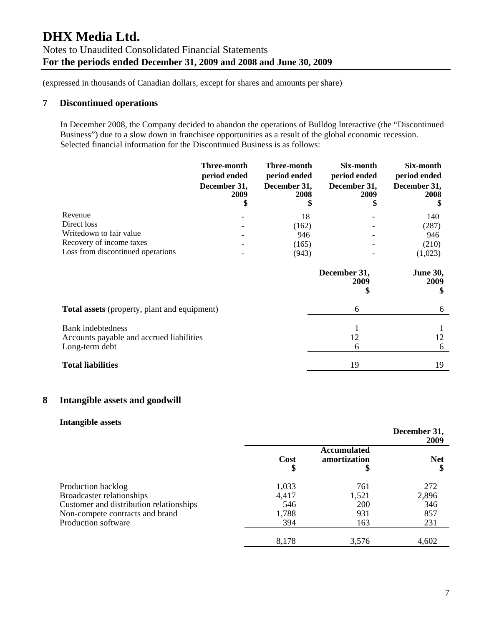# **7 Discontinued operations**

In December 2008, the Company decided to abandon the operations of Bulldog Interactive (the "Discontinued Business") due to a slow down in franchisee opportunities as a result of the global economic recession. Selected financial information for the Discontinued Business is as follows:

|                                                     | Three-month<br>period ended<br>December 31,<br>2009 | Three-month<br>period ended<br>December 31,<br>2008 | Six-month<br>period ended<br>December 31,<br>2009 | Six-month<br>period ended<br>December 31,<br>2008 |
|-----------------------------------------------------|-----------------------------------------------------|-----------------------------------------------------|---------------------------------------------------|---------------------------------------------------|
| Revenue                                             |                                                     | 18                                                  |                                                   | 140                                               |
| Direct loss                                         |                                                     | (162)                                               |                                                   | (287)                                             |
| Writedown to fair value                             |                                                     | 946                                                 |                                                   | 946                                               |
| Recovery of income taxes                            |                                                     | (165)                                               |                                                   | (210)                                             |
| Loss from discontinued operations                   |                                                     | (943)                                               |                                                   | (1,023)                                           |
|                                                     |                                                     |                                                     | December 31,<br>2009<br>\$                        | <b>June 30,</b><br>2009<br>\$                     |
| <b>Total assets</b> (property, plant and equipment) |                                                     |                                                     | 6                                                 | 6                                                 |
| Bank indebtedness                                   |                                                     |                                                     | 1                                                 |                                                   |
| Accounts payable and accrued liabilities            |                                                     |                                                     | 12                                                | 12                                                |
| Long-term debt                                      |                                                     |                                                     | 6                                                 | 6                                                 |
| <b>Total liabilities</b>                            |                                                     |                                                     | 19                                                | 19                                                |

## **8 Intangible assets and goodwill**

### **Intangible assets**

|                                         |           |                             | December 31,<br>2009 |
|-----------------------------------------|-----------|-----------------------------|----------------------|
|                                         | Cost<br>Φ | Accumulated<br>amortization | <b>Net</b>           |
| Production backlog                      | 1,033     | 761                         | 272                  |
| Broadcaster relationships               | 4,417     | 1,521                       | 2,896                |
| Customer and distribution relationships | 546       | <b>200</b>                  | 346                  |
| Non-compete contracts and brand         | 1,788     | 931                         | 857                  |
| Production software                     | 394       | 163                         | 231                  |
|                                         | 8,178     | 3,576                       | 4,602                |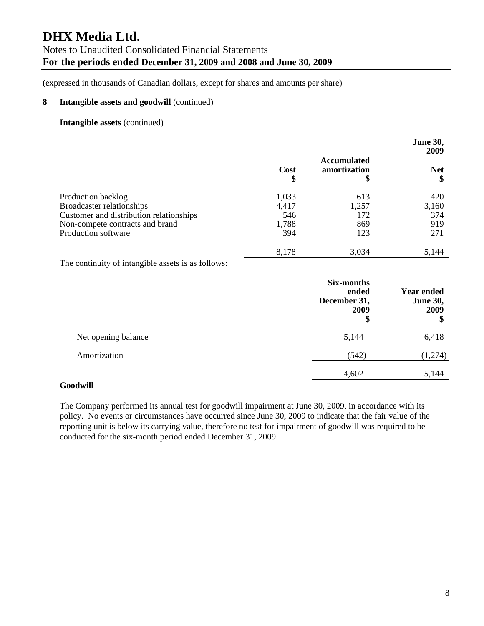(expressed in thousands of Canadian dollars, except for shares and amounts per share)

### **8 Intangible assets and goodwill** (continued)

### **Intangible assets** (continued)

|                                                                                                                                                      |                                       |                                         | <b>June 30,</b><br>2009           |
|------------------------------------------------------------------------------------------------------------------------------------------------------|---------------------------------------|-----------------------------------------|-----------------------------------|
|                                                                                                                                                      | Cost<br>\$                            | <b>Accumulated</b><br>amortization<br>Φ | <b>Net</b><br>\$                  |
| Production backlog<br>Broadcaster relationships<br>Customer and distribution relationships<br>Non-compete contracts and brand<br>Production software | 1,033<br>4,417<br>546<br>1,788<br>394 | 613<br>1,257<br>172<br>869<br>123       | 420<br>3,160<br>374<br>919<br>271 |
|                                                                                                                                                      | 8,178                                 | 3,034                                   | 5,144                             |

The continuity of intangible assets is as follows:

|                     | <b>Six-months</b><br>ended<br>December 31,<br>2009<br>\$ | <b>Year ended</b><br><b>June 30,</b><br>2009<br>\$ |
|---------------------|----------------------------------------------------------|----------------------------------------------------|
| Net opening balance | 5,144                                                    | 6,418                                              |
| Amortization        | (542)                                                    | (1,274)                                            |
|                     | 4,602                                                    | 5,144                                              |

#### **Goodwill**

The Company performed its annual test for goodwill impairment at June 30, 2009, in accordance with its policy. No events or circumstances have occurred since June 30, 2009 to indicate that the fair value of the reporting unit is below its carrying value, therefore no test for impairment of goodwill was required to be conducted for the six-month period ended December 31, 2009.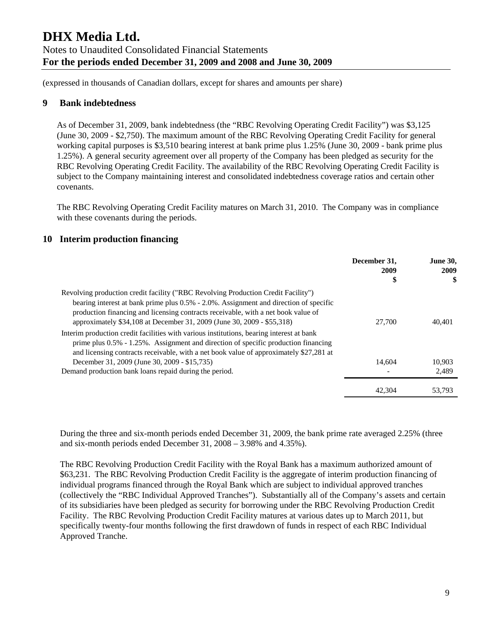(expressed in thousands of Canadian dollars, except for shares and amounts per share)

## **9 Bank indebtedness**

As of December 31, 2009, bank indebtedness (the "RBC Revolving Operating Credit Facility") was \$3,125 (June 30, 2009 - \$2,750). The maximum amount of the RBC Revolving Operating Credit Facility for general working capital purposes is \$3,510 bearing interest at bank prime plus 1.25% (June 30, 2009 - bank prime plus 1.25%). A general security agreement over all property of the Company has been pledged as security for the RBC Revolving Operating Credit Facility. The availability of the RBC Revolving Operating Credit Facility is subject to the Company maintaining interest and consolidated indebtedness coverage ratios and certain other covenants.

The RBC Revolving Operating Credit Facility matures on March 31, 2010. The Company was in compliance with these covenants during the periods.

## **10 Interim production financing**

|                                                                                                                                                                                                                                                                                                                                           | December 31,<br>2009<br>\$ | <b>June 30,</b><br>2009<br>\$ |
|-------------------------------------------------------------------------------------------------------------------------------------------------------------------------------------------------------------------------------------------------------------------------------------------------------------------------------------------|----------------------------|-------------------------------|
| Revolving production credit facility ("RBC Revolving Production Credit Facility")<br>bearing interest at bank prime plus 0.5% - 2.0%. Assignment and direction of specific<br>production financing and licensing contracts receivable, with a net book value of<br>approximately \$34,108 at December 31, 2009 (June 30, 2009 - \$55,318) | 27,700                     | 40,401                        |
| Interim production credit facilities with various institutions, bearing interest at bank<br>prime plus $0.5\%$ - 1.25%. Assignment and direction of specific production financing<br>and licensing contracts receivable, with a net book value of approximately \$27,281 at                                                               |                            |                               |
| December 31, 2009 (June 30, 2009 - \$15,735)                                                                                                                                                                                                                                                                                              | 14.604                     | 10.903                        |
| Demand production bank loans repaid during the period.                                                                                                                                                                                                                                                                                    |                            | 2,489                         |
|                                                                                                                                                                                                                                                                                                                                           | 42,304                     | 53.793                        |

During the three and six-month periods ended December 31, 2009, the bank prime rate averaged 2.25% (three and six-month periods ended December 31, 2008 – 3.98% and 4.35%).

The RBC Revolving Production Credit Facility with the Royal Bank has a maximum authorized amount of \$63,231. The RBC Revolving Production Credit Facility is the aggregate of interim production financing of individual programs financed through the Royal Bank which are subject to individual approved tranches (collectively the "RBC Individual Approved Tranches"). Substantially all of the Company's assets and certain of its subsidiaries have been pledged as security for borrowing under the RBC Revolving Production Credit Facility. The RBC Revolving Production Credit Facility matures at various dates up to March 2011, but specifically twenty-four months following the first drawdown of funds in respect of each RBC Individual Approved Tranche.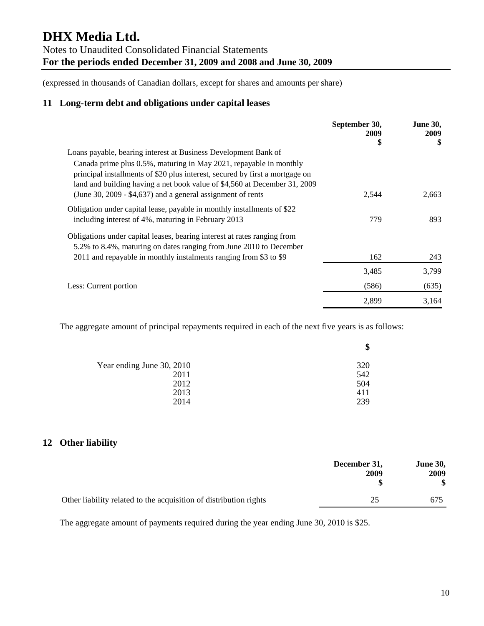(expressed in thousands of Canadian dollars, except for shares and amounts per share)

# **11 Long-term debt and obligations under capital leases**

|                                                                                                                                                                                                                                 | September 30,<br>2009 | <b>June 30,</b><br>2009 |
|---------------------------------------------------------------------------------------------------------------------------------------------------------------------------------------------------------------------------------|-----------------------|-------------------------|
|                                                                                                                                                                                                                                 | \$                    | \$                      |
| Loans payable, bearing interest at Business Development Bank of                                                                                                                                                                 |                       |                         |
| Canada prime plus 0.5%, maturing in May 2021, repayable in monthly<br>principal installments of \$20 plus interest, secured by first a mortgage on<br>land and building having a net book value of \$4,560 at December 31, 2009 |                       |                         |
| (June 30, 2009 - $$4,637$ ) and a general assignment of rents                                                                                                                                                                   | 2,544                 | 2,663                   |
| Obligation under capital lease, payable in monthly installments of \$22                                                                                                                                                         |                       |                         |
| including interest of 4%, maturing in February 2013                                                                                                                                                                             | 779                   | 893                     |
| Obligations under capital leases, bearing interest at rates ranging from                                                                                                                                                        |                       |                         |
| 5.2% to 8.4%, maturing on dates ranging from June 2010 to December                                                                                                                                                              |                       |                         |
| 2011 and repayable in monthly instalments ranging from \$3 to \$9                                                                                                                                                               | 162                   | 243                     |
|                                                                                                                                                                                                                                 | 3,485                 | 3,799                   |
| Less: Current portion                                                                                                                                                                                                           | (586)                 | (635)                   |
|                                                                                                                                                                                                                                 | 2,899                 | 3,164                   |

The aggregate amount of principal repayments required in each of the next five years is as follows:

|                           | \$  |
|---------------------------|-----|
| Year ending June 30, 2010 | 320 |
| 2011                      | 542 |
| 2012                      | 504 |
| 2013                      | 411 |
| 2014                      | 239 |
|                           |     |

# **12 Other liability**

|                                                                   | December 31,<br>2009 | <b>June 30,</b><br>2009<br>\$ |
|-------------------------------------------------------------------|----------------------|-------------------------------|
| Other liability related to the acquisition of distribution rights | 25                   | 675                           |

The aggregate amount of payments required during the year ending June 30, 2010 is \$25.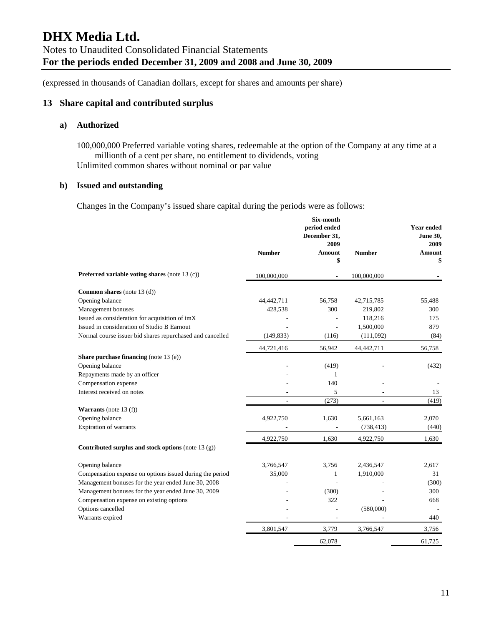# **13 Share capital and contributed surplus**

#### **a) Authorized**

100,000,000 Preferred variable voting shares, redeemable at the option of the Company at any time at a millionth of a cent per share, no entitlement to dividends, voting Unlimited common shares without nominal or par value

### **b) Issued and outstanding**

Changes in the Company's issued share capital during the periods were as follows:

|                                                           |                          | Six-month<br>period ended<br>December 31,<br>2009 |                | <b>Year ended</b><br><b>June 30.</b><br>2009 |
|-----------------------------------------------------------|--------------------------|---------------------------------------------------|----------------|----------------------------------------------|
|                                                           | <b>Number</b>            | <b>Amount</b><br>\$                               | <b>Number</b>  | <b>Amount</b><br>\$                          |
| Preferred variable voting shares (note 13 (c))            | 100,000,000              |                                                   | 100,000,000    |                                              |
| <b>Common shares</b> (note 13 $(d)$ )                     |                          |                                                   |                |                                              |
| Opening balance                                           | 44,442,711               | 56,758                                            | 42,715,785     | 55,488                                       |
| Management bonuses                                        | 428,538                  | 300                                               | 219,802        | 300                                          |
| Issued as consideration for acquisition of imX            |                          |                                                   | 118,216        | 175                                          |
| Issued in consideration of Studio B Earnout               |                          | L,                                                | 1,500,000      | 879                                          |
| Normal course issuer bid shares repurchased and cancelled | (149, 833)               | (116)                                             | (111,092)      | (84)                                         |
|                                                           | 44,721,416               | 56,942                                            | 44,442,711     | 56,758                                       |
| <b>Share purchase financing</b> (note $13$ (e))           |                          |                                                   |                |                                              |
| Opening balance                                           |                          | (419)                                             |                | (432)                                        |
| Repayments made by an officer                             |                          | 1                                                 |                |                                              |
| Compensation expense                                      |                          | 140                                               |                |                                              |
| Interest received on notes                                |                          | 5                                                 |                | 13                                           |
|                                                           | $\overline{\phantom{a}}$ | (273)                                             | $\overline{a}$ | (419)                                        |
| <b>Warrants</b> (note 13 $(f)$ )                          |                          |                                                   |                |                                              |
| Opening balance                                           | 4,922,750                | 1,630                                             | 5,661,163      | 2,070                                        |
| Expiration of warrants                                    |                          |                                                   | (738, 413)     | (440)                                        |
|                                                           | 4,922,750                | 1,630                                             | 4,922,750      | 1,630                                        |
| Contributed surplus and stock options (note 13 (g))       |                          |                                                   |                |                                              |
| Opening balance                                           | 3,766,547                | 3,756                                             | 2,436,547      | 2,617                                        |
| Compensation expense on options issued during the period  | 35,000                   | 1                                                 | 1,910,000      | 31                                           |
| Management bonuses for the year ended June 30, 2008       |                          |                                                   |                | (300)                                        |
| Management bonuses for the year ended June 30, 2009       |                          | (300)                                             |                | 300                                          |
| Compensation expense on existing options                  |                          | 322                                               |                | 668                                          |
| Options cancelled                                         |                          |                                                   | (580,000)      |                                              |
| Warrants expired                                          |                          |                                                   |                | 440                                          |
|                                                           | 3,801,547                | 3,779                                             | 3,766,547      | 3,756                                        |
|                                                           |                          | 62,078                                            |                | 61,725                                       |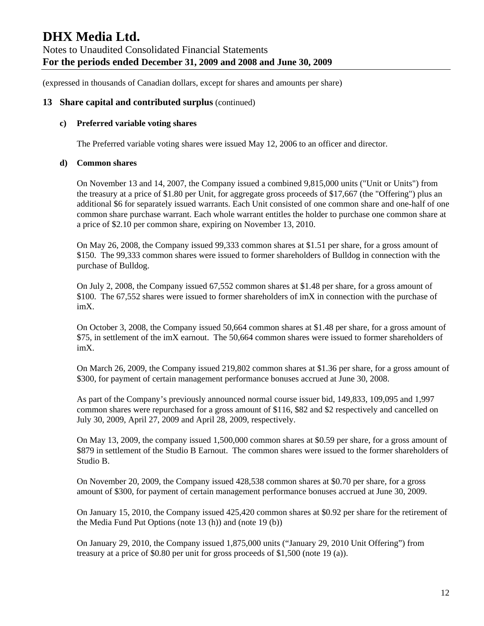### **13 Share capital and contributed surplus** (continued)

### **c) Preferred variable voting shares**

The Preferred variable voting shares were issued May 12, 2006 to an officer and director.

### **d) Common shares**

On November 13 and 14, 2007, the Company issued a combined 9,815,000 units ("Unit or Units") from the treasury at a price of \$1.80 per Unit, for aggregate gross proceeds of \$17,667 (the "Offering") plus an additional \$6 for separately issued warrants. Each Unit consisted of one common share and one-half of one common share purchase warrant. Each whole warrant entitles the holder to purchase one common share at a price of \$2.10 per common share, expiring on November 13, 2010.

On May 26, 2008, the Company issued 99,333 common shares at \$1.51 per share, for a gross amount of \$150. The 99,333 common shares were issued to former shareholders of Bulldog in connection with the purchase of Bulldog.

On July 2, 2008, the Company issued 67,552 common shares at \$1.48 per share, for a gross amount of \$100. The 67,552 shares were issued to former shareholders of imX in connection with the purchase of imX.

On October 3, 2008, the Company issued 50,664 common shares at \$1.48 per share, for a gross amount of \$75, in settlement of the imX earnout. The 50,664 common shares were issued to former shareholders of imX.

On March 26, 2009, the Company issued 219,802 common shares at \$1.36 per share, for a gross amount of \$300, for payment of certain management performance bonuses accrued at June 30, 2008.

As part of the Company's previously announced normal course issuer bid, 149,833, 109,095 and 1,997 common shares were repurchased for a gross amount of \$116, \$82 and \$2 respectively and cancelled on July 30, 2009, April 27, 2009 and April 28, 2009, respectively.

On May 13, 2009, the company issued 1,500,000 common shares at \$0.59 per share, for a gross amount of \$879 in settlement of the Studio B Earnout. The common shares were issued to the former shareholders of Studio B.

On November 20, 2009, the Company issued 428,538 common shares at \$0.70 per share, for a gross amount of \$300, for payment of certain management performance bonuses accrued at June 30, 2009.

On January 15, 2010, the Company issued 425,420 common shares at \$0.92 per share for the retirement of the Media Fund Put Options (note 13 (h)) and (note 19 (b))

On January 29, 2010, the Company issued 1,875,000 units ("January 29, 2010 Unit Offering") from treasury at a price of \$0.80 per unit for gross proceeds of \$1,500 (note 19 (a)).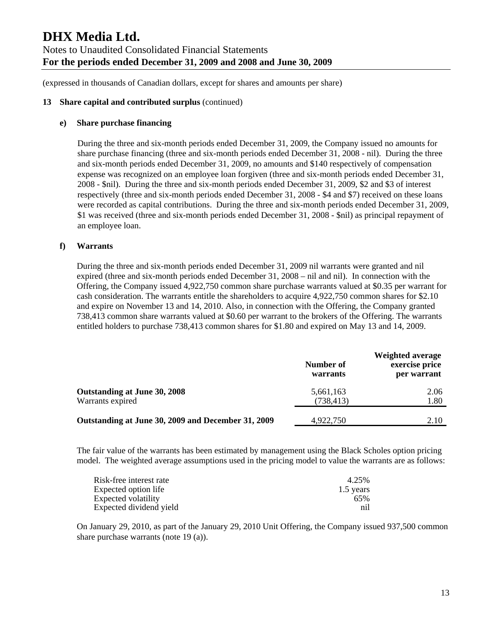### **13 Share capital and contributed surplus** (continued)

#### **e) Share purchase financing**

During the three and six-month periods ended December 31, 2009, the Company issued no amounts for share purchase financing (three and six-month periods ended December 31, 2008 - nil). During the three and six-month periods ended December 31, 2009, no amounts and \$140 respectively of compensation expense was recognized on an employee loan forgiven (three and six-month periods ended December 31, 2008 - \$nil). During the three and six-month periods ended December 31, 2009, \$2 and \$3 of interest respectively (three and six-month periods ended December 31, 2008 - \$4 and \$7) received on these loans were recorded as capital contributions. During the three and six-month periods ended December 31, 2009, \$1 was received (three and six-month periods ended December 31, 2008 - \$nil) as principal repayment of an employee loan.

### **f) Warrants**

During the three and six-month periods ended December 31, 2009 nil warrants were granted and nil expired (three and six-month periods ended December 31, 2008 – nil and nil). In connection with the Offering, the Company issued 4,922,750 common share purchase warrants valued at \$0.35 per warrant for cash consideration. The warrants entitle the shareholders to acquire 4,922,750 common shares for \$2.10 and expire on November 13 and 14, 2010. Also, in connection with the Offering, the Company granted 738,413 common share warrants valued at \$0.60 per warrant to the brokers of the Offering. The warrants entitled holders to purchase 738,413 common shares for \$1.80 and expired on May 13 and 14, 2009.

| warrants   | exercise price<br>per warrant |
|------------|-------------------------------|
| 5,661,163  | 2.06                          |
| (738, 413) | 1.80                          |
| 4,922,750  | 2.10                          |
|            | Number of                     |

The fair value of the warrants has been estimated by management using the Black Scholes option pricing model. The weighted average assumptions used in the pricing model to value the warrants are as follows:

| Risk-free interest rate | 4.25%     |
|-------------------------|-----------|
| Expected option life    | 1.5 years |
| Expected volatility     | 65%       |
| Expected dividend yield | nil       |

On January 29, 2010, as part of the January 29, 2010 Unit Offering, the Company issued 937,500 common share purchase warrants (note 19 (a)).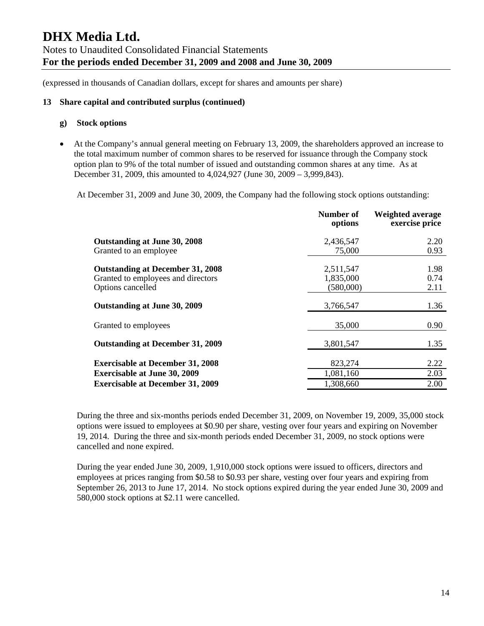### **13 Share capital and contributed surplus (continued)**

#### **g) Stock options**

• At the Company's annual general meeting on February 13, 2009, the shareholders approved an increase to the total maximum number of common shares to be reserved for issuance through the Company stock option plan to 9% of the total number of issued and outstanding common shares at any time. As at December 31, 2009, this amounted to 4,024,927 (June 30, 2009 – 3,999,843).

At December 31, 2009 and June 30, 2009, the Company had the following stock options outstanding:

|                                                         | Number of<br>options   | <b>Weighted average</b><br>exercise price |
|---------------------------------------------------------|------------------------|-------------------------------------------|
| Outstanding at June 30, 2008                            | 2,436,547              | 2.20                                      |
| Granted to an employee                                  | 75,000                 | 0.93                                      |
| <b>Outstanding at December 31, 2008</b>                 | 2,511,547              | 1.98                                      |
| Granted to employees and directors<br>Options cancelled | 1,835,000<br>(580,000) | 0.74<br>2.11                              |
| Outstanding at June 30, 2009                            | 3,766,547              | 1.36                                      |
| Granted to employees                                    | 35,000                 | 0.90                                      |
| <b>Outstanding at December 31, 2009</b>                 | 3,801,547              | 1.35                                      |
| <b>Exercisable at December 31, 2008</b>                 | 823,274                | 2.22                                      |
| <b>Exercisable at June 30, 2009</b>                     | 1,081,160              | 2.03                                      |
| <b>Exercisable at December 31, 2009</b>                 | 1,308,660              | 2.00                                      |

During the three and six-months periods ended December 31, 2009, on November 19, 2009, 35,000 stock options were issued to employees at \$0.90 per share, vesting over four years and expiring on November 19, 2014. During the three and six-month periods ended December 31, 2009, no stock options were cancelled and none expired.

During the year ended June 30, 2009, 1,910,000 stock options were issued to officers, directors and employees at prices ranging from \$0.58 to \$0.93 per share, vesting over four years and expiring from September 26, 2013 to June 17, 2014. No stock options expired during the year ended June 30, 2009 and 580,000 stock options at \$2.11 were cancelled.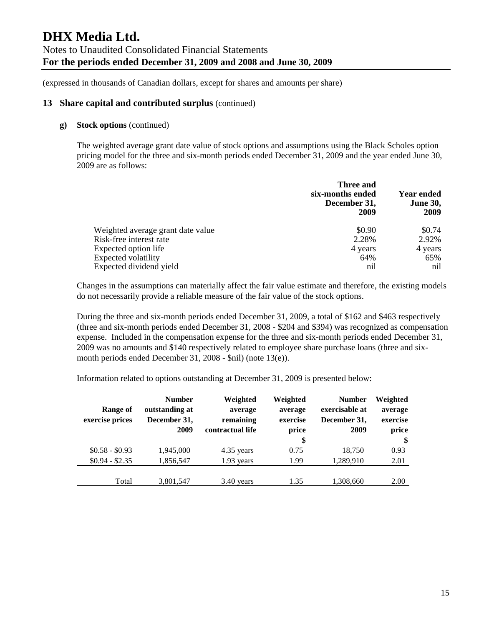### **13 Share capital and contributed surplus** (continued)

#### **g) Stock options** (continued)

The weighted average grant date value of stock options and assumptions using the Black Scholes option pricing model for the three and six-month periods ended December 31, 2009 and the year ended June 30, 2009 are as follows:

|                                   | Three and<br>six-months ended<br>December 31,<br>2009 | <b>Year ended</b><br><b>June 30,</b><br>2009 |
|-----------------------------------|-------------------------------------------------------|----------------------------------------------|
| Weighted average grant date value | \$0.90                                                | \$0.74                                       |
| Risk-free interest rate           | 2.28%                                                 | 2.92%                                        |
| Expected option life              | 4 years                                               | 4 years                                      |
| <b>Expected volatility</b>        | 64%                                                   | 65%                                          |
| Expected dividend yield           | nil                                                   | nil                                          |

Changes in the assumptions can materially affect the fair value estimate and therefore, the existing models do not necessarily provide a reliable measure of the fair value of the stock options.

During the three and six-month periods ended December 31, 2009, a total of \$162 and \$463 respectively (three and six-month periods ended December 31, 2008 - \$204 and \$394) was recognized as compensation expense. Included in the compensation expense for the three and six-month periods ended December 31, 2009 was no amounts and \$140 respectively related to employee share purchase loans (three and sixmonth periods ended December 31, 2008 - \$nil) (note 13(e)).

Information related to options outstanding at December 31, 2009 is presented below:

| Range of<br>exercise prices | <b>Number</b><br>outstanding at<br>December 31,<br>2009 | Weighted<br>average<br>remaining<br>contractual life | Weighted<br>average<br>exercise<br>price<br>\$ | <b>Number</b><br>exercisable at<br>December 31,<br>2009 | Weighted<br>average<br>exercise<br>price<br>\$ |
|-----------------------------|---------------------------------------------------------|------------------------------------------------------|------------------------------------------------|---------------------------------------------------------|------------------------------------------------|
| $$0.58 - $0.93$             | 1,945,000                                               | 4.35 years                                           | 0.75                                           | 18,750                                                  | 0.93                                           |
| $$0.94 - $2.35$             | 1,856,547                                               | 1.93 years                                           | 1.99                                           | 1,289,910                                               | 2.01                                           |
| Total                       | 3,801,547                                               | 3.40 years                                           | 1.35                                           | 1,308,660                                               | 2.00                                           |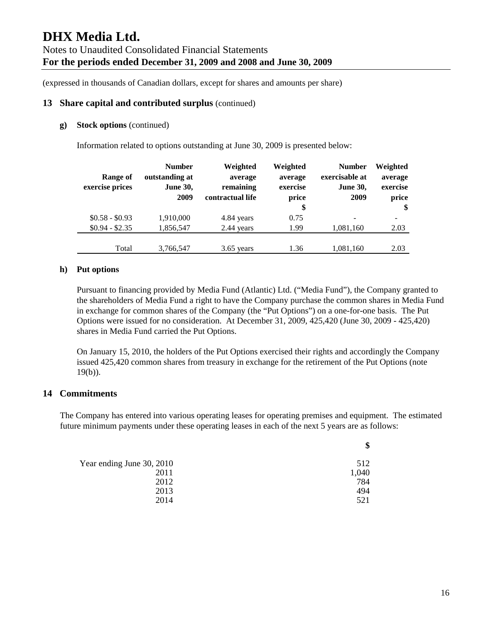### **13 Share capital and contributed surplus** (continued)

#### **g) Stock options** (continued)

Information related to options outstanding at June 30, 2009 is presented below:

|                 | <b>Number</b>   | Weighted         | Weighted | <b>Number</b>   | Weighted |
|-----------------|-----------------|------------------|----------|-----------------|----------|
| Range of        | outstanding at  | average          | average  | exercisable at  | average  |
| exercise prices | <b>June 30,</b> | remaining        | exercise | <b>June 30,</b> | exercise |
|                 | 2009            | contractual life | price    | 2009            | price    |
|                 |                 |                  | \$       |                 | \$       |
| $$0.58 - $0.93$ | 1,910,000       | 4.84 years       | 0.75     | -               |          |
| $$0.94 - $2.35$ | 1,856,547       | 2.44 years       | 1.99     | 1,081,160       | 2.03     |
|                 |                 |                  |          |                 |          |
| Total           | 3,766,547       | $3.65$ years     | 1.36     | 1,081,160       | 2.03     |

### **h) Put options**

Pursuant to financing provided by Media Fund (Atlantic) Ltd. ("Media Fund"), the Company granted to the shareholders of Media Fund a right to have the Company purchase the common shares in Media Fund in exchange for common shares of the Company (the "Put Options") on a one-for-one basis. The Put Options were issued for no consideration. At December 31, 2009, 425,420 (June 30, 2009 - 425,420) shares in Media Fund carried the Put Options.

On January 15, 2010, the holders of the Put Options exercised their rights and accordingly the Company issued 425,420 common shares from treasury in exchange for the retirement of the Put Options (note  $19(b)$ ).

## **14 Commitments**

The Company has entered into various operating leases for operating premises and equipment. The estimated future minimum payments under these operating leases in each of the next 5 years are as follows:

|                           | \$    |
|---------------------------|-------|
| Year ending June 30, 2010 | 512   |
| 2011                      | 1,040 |
| 2012                      | 784   |
| 2013                      | 494   |
| 2014                      | 521   |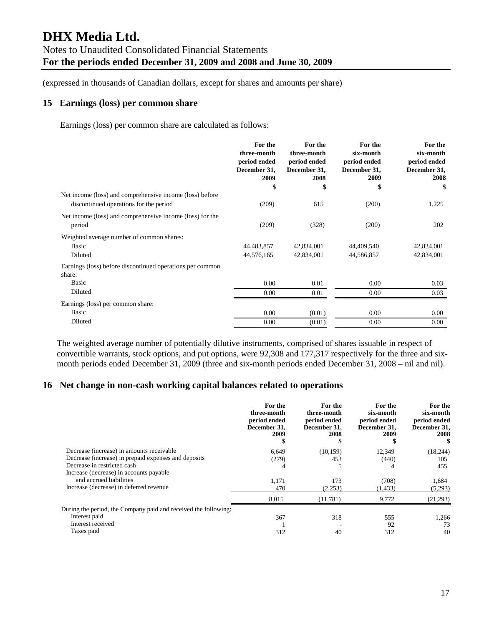### **15 Earnings (loss) per common share**

Earnings (loss) per common share are calculated as follows:

|                                                                                                    | For the<br>three-month<br>period ended<br>December 31,<br>2009<br>\$ | For the<br>three-month<br>period ended<br>December 31,<br>2008<br>\$ | For the<br>six-month<br>period ended<br>December 31,<br>2009<br>\$ | For the<br>six-month<br>period ended<br>December 31,<br>2008<br>\$ |
|----------------------------------------------------------------------------------------------------|----------------------------------------------------------------------|----------------------------------------------------------------------|--------------------------------------------------------------------|--------------------------------------------------------------------|
| Net income (loss) and comprehensive income (loss) before<br>discontinued operations for the period | (209)                                                                | 615                                                                  | (200)                                                              | 1,225                                                              |
| Net income (loss) and comprehensive income (loss) for the<br>period                                | (209)                                                                | (328)                                                                | (200)                                                              | 202                                                                |
| Weighted average number of common shares:<br>Basic<br>Diluted                                      | 44,483,857<br>44,576,165                                             | 42,834,001<br>42,834,001                                             | 44,409,540<br>44,586,857                                           | 42,834,001<br>42,834,001                                           |
| Earnings (loss) before discontinued operations per common<br>share:<br>Basic<br>Diluted            | 0.00<br>0.00                                                         | 0.01<br>0.01                                                         | 0.00<br>0.00                                                       | 0.03<br>0.03                                                       |
| Earnings (loss) per common share:<br>Basic                                                         | 0.00                                                                 | (0.01)                                                               | 0.00                                                               | $0.00\,$                                                           |
| Diluted                                                                                            | 0.00                                                                 | (0.01)                                                               | 0.00                                                               | 0.00                                                               |

The weighted average number of potentially dilutive instruments, comprised of shares issuable in respect of convertible warrants, stock options, and put options, were 92,308 and 177,317 respectively for the three and sixmonth periods ended December 31, 2009 (three and six-month periods ended December 31, 2008 – nil and nil).

## **16 Net change in non-cash working capital balances related to operations**

|                                                                 | For the<br>three-month<br>period ended<br>December 31.<br>2009 | For the<br>three-month<br>period ended<br>December 31,<br>2008 | For the<br>six-month<br>period ended<br>December 31.<br>2009 | For the<br>six-month<br>period ended<br>December 31,<br>2008 |
|-----------------------------------------------------------------|----------------------------------------------------------------|----------------------------------------------------------------|--------------------------------------------------------------|--------------------------------------------------------------|
| Decrease (increase) in amounts receivable                       | 6.649                                                          | (10, 159)                                                      | 12,349                                                       | (18, 244)                                                    |
| Decrease (increase) in prepaid expenses and deposits            | (279)                                                          | 453                                                            | (440)                                                        | 105                                                          |
| Decrease in restricted cash                                     | 4                                                              |                                                                |                                                              | 455                                                          |
| Increase (decrease) in accounts payable                         |                                                                |                                                                |                                                              |                                                              |
| and accrued liabilities                                         | 1.171                                                          | 173                                                            | (708)                                                        | 1.684                                                        |
| Increase (decrease) in deferred revenue                         | 470                                                            | (2,253)                                                        | (1, 433)                                                     | (5,293)                                                      |
|                                                                 | 8,015                                                          | (11,781)                                                       | 9,772                                                        | (21,293)                                                     |
| During the period, the Company paid and received the following: |                                                                |                                                                |                                                              |                                                              |
| Interest paid                                                   | 367                                                            | 318                                                            | 555                                                          | 1,266                                                        |
| Interest received                                               |                                                                |                                                                | 92                                                           | 73                                                           |
| Taxes paid                                                      | 312                                                            | 40                                                             | 312                                                          | 40                                                           |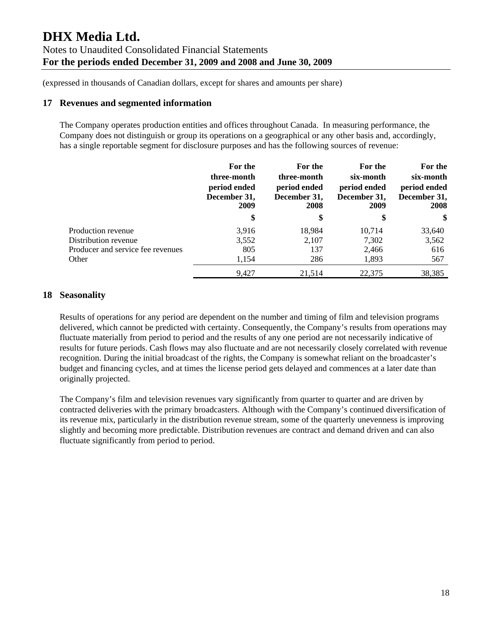### **17 Revenues and segmented information**

The Company operates production entities and offices throughout Canada. In measuring performance, the Company does not distinguish or group its operations on a geographical or any other basis and, accordingly, has a single reportable segment for disclosure purposes and has the following sources of revenue:

|                                   | For the<br>three-month<br>period ended<br>December 31,<br>2009 | For the<br>three-month<br>period ended<br>December 31,<br>2008 | For the<br>six-month<br>period ended<br>December 31,<br>2009 | For the<br>six-month<br>period ended<br>December 31,<br>2008 |
|-----------------------------------|----------------------------------------------------------------|----------------------------------------------------------------|--------------------------------------------------------------|--------------------------------------------------------------|
|                                   | \$                                                             | \$                                                             | \$                                                           | \$                                                           |
| Production revenue                | 3,916                                                          | 18,984                                                         | 10,714                                                       | 33,640                                                       |
| Distribution revenue              | 3,552                                                          | 2,107                                                          | 7,302                                                        | 3,562                                                        |
| Producer and service fee revenues | 805                                                            | 137                                                            | 2,466                                                        | 616                                                          |
| Other                             | 1,154                                                          | 286                                                            | 1,893                                                        | 567                                                          |
|                                   | 9,427                                                          | 21,514                                                         | 22,375                                                       | 38,385                                                       |

# **18 Seasonality**

Results of operations for any period are dependent on the number and timing of film and television programs delivered, which cannot be predicted with certainty. Consequently, the Company's results from operations may fluctuate materially from period to period and the results of any one period are not necessarily indicative of results for future periods. Cash flows may also fluctuate and are not necessarily closely correlated with revenue recognition. During the initial broadcast of the rights, the Company is somewhat reliant on the broadcaster's budget and financing cycles, and at times the license period gets delayed and commences at a later date than originally projected.

The Company's film and television revenues vary significantly from quarter to quarter and are driven by contracted deliveries with the primary broadcasters. Although with the Company's continued diversification of its revenue mix, particularly in the distribution revenue stream, some of the quarterly unevenness is improving slightly and becoming more predictable. Distribution revenues are contract and demand driven and can also fluctuate significantly from period to period.